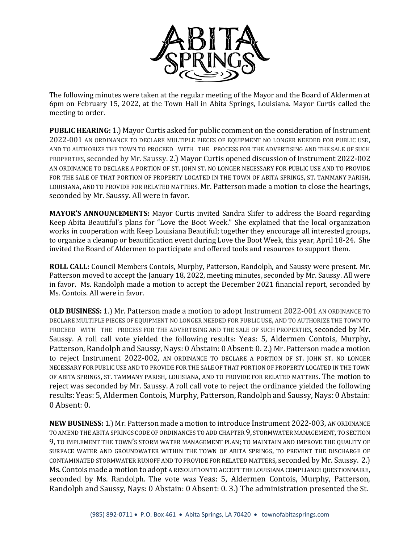

The following minutes were taken at the regular meeting of the Mayor and the Board of Aldermen at 6pm on February 15, 2022, at the Town Hall in Abita Springs, Louisiana. Mayor Curtis called the meeting to order.

**PUBLIC HEARING:** 1.) Mayor Curtis asked for public comment on the consideration of Instrument 2022-001 AN ORDINANCE TO DECLARE MULTIPLE PIECES OF EQUIPMENT NO LONGER NEEDED FOR PUBLIC USE, AND TO AUTHORIZE THE TOWN TO PROCEED WITH THE PROCESS FOR THE ADVERTISING AND THE SALE OF SUCH PROPERTIES, seconded by Mr. Saussy. 2.) Mayor Curtis opened discussion of Instrument 2022-002 AN ORDINANCE TO DECLARE A PORTION OF ST. JOHN ST. NO LONGER NECESSARY FOR PUBLIC USE AND TO PROVIDE FOR THE SALE OF THAT PORTION OF PROPERTY LOCATED IN THE TOWN OF ABITA SPRINGS, ST. TAMMANY PARISH, LOUISIANA, AND TO PROVIDE FOR RELATED MATTERS. Mr. Patterson made a motion to close the hearings, seconded by Mr. Saussy. All were in favor.

**MAYOR'S ANNOUNCEMENTS:** Mayor Curtis invited Sandra Slifer to address the Board regarding Keep Abita Beautiful's plans for "Love the Boot Week." She explained that the local organization works in cooperation with Keep Louisiana Beautiful; together they encourage all interested groups, to organize a cleanup or beautification event during Love the Boot Week, this year, April 18-24. She invited the Board of Aldermen to participate and offered tools and resources to support them.

**ROLL CALL:** Council Members Contois, Murphy, Patterson, Randolph, and Saussy were present. Mr. Patterson moved to accept the January 18, 2022, meeting minutes, seconded by Mr. Saussy. All were in favor. Ms. Randolph made a motion to accept the December 2021 financial report, seconded by Ms. Contois. All were in favor.

**OLD BUSINESS:** 1.) Mr. Patterson made a motion to adopt Instrument 2022-001 AN ORDINANCE TO DECLARE MULTIPLE PIECES OF EQUIPMENT NO LONGER NEEDED FOR PUBLIC USE, AND TO AUTHORIZE THE TOWN TO PROCEED WITH THE PROCESS FOR THE ADVERTISING AND THE SALE OF SUCH PROPERTIES, seconded by Mr. Saussy. A roll call vote yielded the following results: Yeas: 5, Aldermen Contois, Murphy, Patterson, Randolph and Saussy, Nays: 0 Abstain: 0 Absent: 0. 2.) Mr. Patterson made a motion to reject Instrument 2022-002, AN ORDINANCE TO DECLARE A PORTION OF ST. JOHN ST. NO LONGER NECESSARY FOR PUBLIC USE AND TO PROVIDE FOR THE SALE OF THAT PORTION OF PROPERTY LOCATED IN THE TOWN OF ABITA SPRINGS, ST. TAMMANY PARISH, LOUISIANA, AND TO PROVIDE FOR RELATED MATTERS. The motion to reject was seconded by Mr. Saussy. A roll call vote to reject the ordinance yielded the following results: Yeas: 5, Aldermen Contois, Murphy, Patterson, Randolph and Saussy, Nays: 0 Abstain: 0 Absent: 0.

**NEW BUSINESS:** 1.) Mr. Patterson made a motion to introduce Instrument 2022-003, AN ORDINANCE TO AMEND THE ABITA SPRINGS CODE OF ORDINANCES TO ADD CHAPTER 9, STORMWATER MANAGEMENT, TO SECTION 9, TO IMPLEMENT THE TOWN'S STORM WATER MANAGEMENT PLAN; TO MAINTAIN AND IMPROVE THE QUALITY OF SURFACE WATER AND GROUNDWATER WITHIN THE TOWN OF ABITA SPRINGS, TO PREVENT THE DISCHARGE OF CONTAMINATED STORMWATER RUNOFF AND TO PROVIDE FOR RELATED MATTERS, seconded by Mr. Saussy. 2.) Ms. Contois made a motion to adopt A RESOLUTION TO ACCEPT THE LOUISIANA COMPLIANCE QUESTIONNAIRE, seconded by Ms. Randolph. The vote was Yeas: 5, Aldermen Contois, Murphy, Patterson, Randolph and Saussy, Nays: 0 Abstain: 0 Absent: 0. 3.) The administration presented the St.